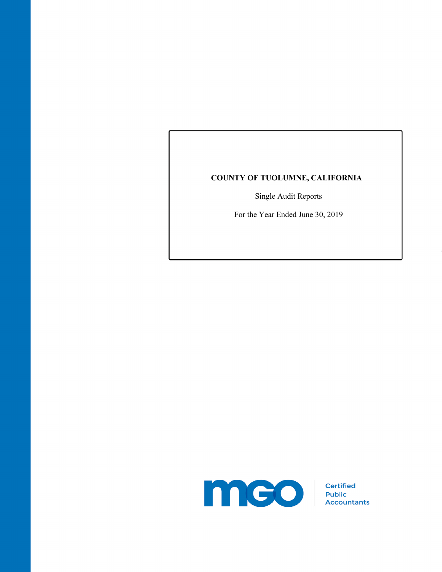# **COUNTY OF TUOLUMNE, CALIFORNIA**

Single Audit Reports

For the Year Ended June 30, 2019

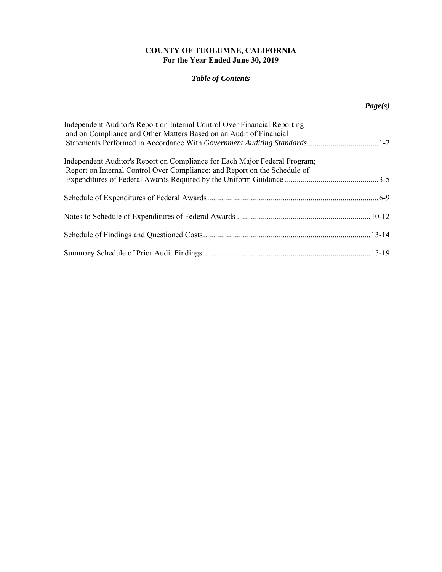# **COUNTY OF TUOLUMNE, CALIFORNIA For the Year Ended June 30, 2019**

# *Table of Contents*

# *Page(s)*

| Independent Auditor's Report on Internal Control Over Financial Reporting<br>and on Compliance and Other Matters Based on an Audit of Financial<br>Statements Performed in Accordance With Government Auditing Standards 1-2 |  |
|------------------------------------------------------------------------------------------------------------------------------------------------------------------------------------------------------------------------------|--|
| Independent Auditor's Report on Compliance for Each Major Federal Program;<br>Report on Internal Control Over Compliance; and Report on the Schedule of                                                                      |  |
|                                                                                                                                                                                                                              |  |
|                                                                                                                                                                                                                              |  |
|                                                                                                                                                                                                                              |  |
|                                                                                                                                                                                                                              |  |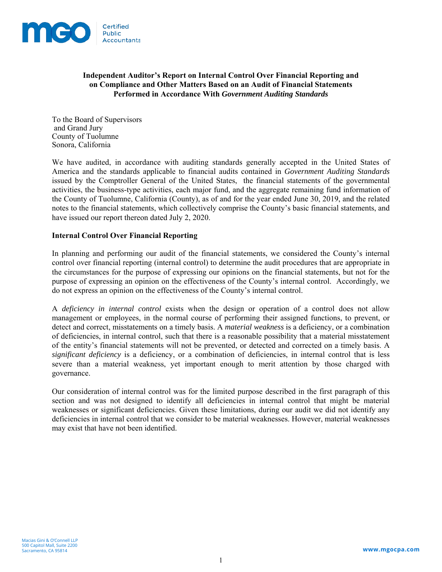

## **Independent Auditor's Report on Internal Control Over Financial Reporting and on Compliance and Other Matters Based on an Audit of Financial Statements Performed in Accordance With** *Government Auditing Standards*

To the Board of Supervisors and Grand Jury County of Tuolumne Sonora, California

We have audited, in accordance with auditing standards generally accepted in the United States of America and the standards applicable to financial audits contained in *Government Auditing Standards* issued by the Comptroller General of the United States, the financial statements of the governmental activities, the business-type activities, each major fund, and the aggregate remaining fund information of the County of Tuolumne, California (County), as of and for the year ended June 30, 2019, and the related notes to the financial statements, which collectively comprise the County's basic financial statements, and have issued our report thereon dated July 2, 2020.

## **Internal Control Over Financial Reporting**

In planning and performing our audit of the financial statements, we considered the County's internal control over financial reporting (internal control) to determine the audit procedures that are appropriate in the circumstances for the purpose of expressing our opinions on the financial statements, but not for the purpose of expressing an opinion on the effectiveness of the County's internal control. Accordingly, we do not express an opinion on the effectiveness of the County's internal control.

A *deficiency in internal control* exists when the design or operation of a control does not allow management or employees, in the normal course of performing their assigned functions, to prevent, or detect and correct, misstatements on a timely basis. A *material weakness* is a deficiency, or a combination of deficiencies, in internal control, such that there is a reasonable possibility that a material misstatement of the entity's financial statements will not be prevented, or detected and corrected on a timely basis. A *significant deficiency* is a deficiency, or a combination of deficiencies, in internal control that is less severe than a material weakness, yet important enough to merit attention by those charged with governance.

Our consideration of internal control was for the limited purpose described in the first paragraph of this section and was not designed to identify all deficiencies in internal control that might be material weaknesses or significant deficiencies. Given these limitations, during our audit we did not identify any deficiencies in internal control that we consider to be material weaknesses. However, material weaknesses may exist that have not been identified.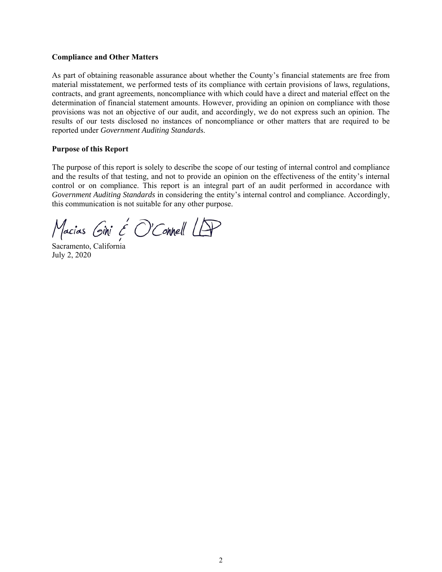### **Compliance and Other Matters**

As part of obtaining reasonable assurance about whether the County's financial statements are free from material misstatement, we performed tests of its compliance with certain provisions of laws, regulations, contracts, and grant agreements, noncompliance with which could have a direct and material effect on the determination of financial statement amounts. However, providing an opinion on compliance with those provisions was not an objective of our audit, and accordingly, we do not express such an opinion. The results of our tests disclosed no instances of noncompliance or other matters that are required to be reported under *Government Auditing Standard*s.

### **Purpose of this Report**

The purpose of this report is solely to describe the scope of our testing of internal control and compliance and the results of that testing, and not to provide an opinion on the effectiveness of the entity's internal control or on compliance. This report is an integral part of an audit performed in accordance with *Government Auditing Standards* in considering the entity's internal control and compliance. Accordingly, this communication is not suitable for any other purpose.

Macias Gini & O'Connell LAP

Sacramento, California July 2, 2020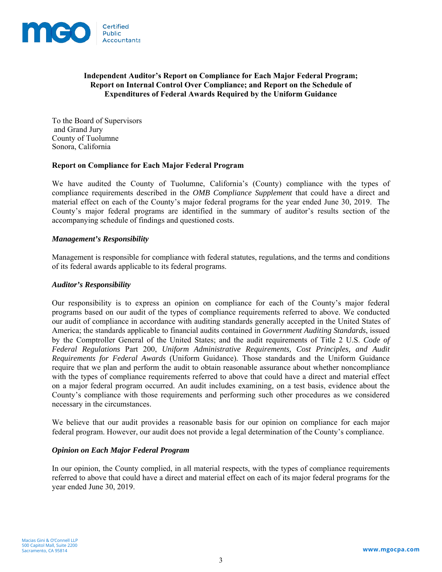

## **Independent Auditor's Report on Compliance for Each Major Federal Program; Report on Internal Control Over Compliance; and Report on the Schedule of Expenditures of Federal Awards Required by the Uniform Guidance**

To the Board of Supervisors and Grand Jury County of Tuolumne Sonora, California

## **Report on Compliance for Each Major Federal Program**

We have audited the County of Tuolumne, California's (County) compliance with the types of compliance requirements described in the *OMB Compliance Supplement* that could have a direct and material effect on each of the County's major federal programs for the year ended June 30, 2019. The County's major federal programs are identified in the summary of auditor's results section of the accompanying schedule of findings and questioned costs.

### *Management's Responsibility*

Management is responsible for compliance with federal statutes, regulations, and the terms and conditions of its federal awards applicable to its federal programs.

### *Auditor's Responsibility*

Our responsibility is to express an opinion on compliance for each of the County's major federal programs based on our audit of the types of compliance requirements referred to above. We conducted our audit of compliance in accordance with auditing standards generally accepted in the United States of America; the standards applicable to financial audits contained in *Government Auditing Standards*, issued by the Comptroller General of the United States; and the audit requirements of Title 2 U.S. *Code of Federal Regulations* Part 200, *Uniform Administrative Requirements, Cost Principles, and Audit Requirements for Federal Awards* (Uniform Guidance)*.* Those standards and the Uniform Guidance require that we plan and perform the audit to obtain reasonable assurance about whether noncompliance with the types of compliance requirements referred to above that could have a direct and material effect on a major federal program occurred. An audit includes examining, on a test basis, evidence about the County's compliance with those requirements and performing such other procedures as we considered necessary in the circumstances.

We believe that our audit provides a reasonable basis for our opinion on compliance for each major federal program. However, our audit does not provide a legal determination of the County's compliance.

### *Opinion on Each Major Federal Program*

In our opinion, the County complied, in all material respects, with the types of compliance requirements referred to above that could have a direct and material effect on each of its major federal programs for the year ended June 30, 2019.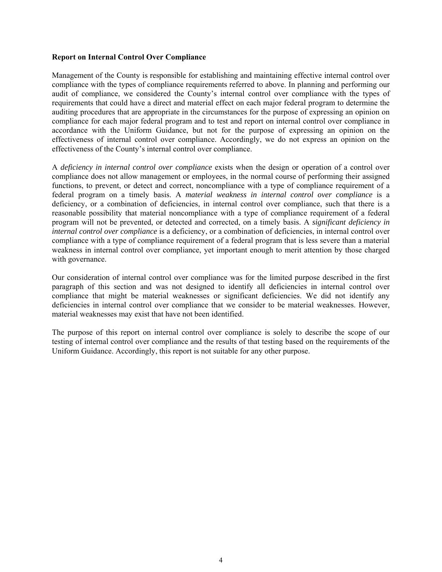### **Report on Internal Control Over Compliance**

Management of the County is responsible for establishing and maintaining effective internal control over compliance with the types of compliance requirements referred to above. In planning and performing our audit of compliance, we considered the County's internal control over compliance with the types of requirements that could have a direct and material effect on each major federal program to determine the auditing procedures that are appropriate in the circumstances for the purpose of expressing an opinion on compliance for each major federal program and to test and report on internal control over compliance in accordance with the Uniform Guidance, but not for the purpose of expressing an opinion on the effectiveness of internal control over compliance. Accordingly, we do not express an opinion on the effectiveness of the County's internal control over compliance.

A *deficiency in internal control over compliance* exists when the design or operation of a control over compliance does not allow management or employees, in the normal course of performing their assigned functions, to prevent, or detect and correct, noncompliance with a type of compliance requirement of a federal program on a timely basis. A *material weakness in internal control over compliance* is a deficiency, or a combination of deficiencies, in internal control over compliance, such that there is a reasonable possibility that material noncompliance with a type of compliance requirement of a federal program will not be prevented, or detected and corrected, on a timely basis. A *significant deficiency in internal control over compliance* is a deficiency, or a combination of deficiencies, in internal control over compliance with a type of compliance requirement of a federal program that is less severe than a material weakness in internal control over compliance, yet important enough to merit attention by those charged with governance.

Our consideration of internal control over compliance was for the limited purpose described in the first paragraph of this section and was not designed to identify all deficiencies in internal control over compliance that might be material weaknesses or significant deficiencies. We did not identify any deficiencies in internal control over compliance that we consider to be material weaknesses. However, material weaknesses may exist that have not been identified.

The purpose of this report on internal control over compliance is solely to describe the scope of our testing of internal control over compliance and the results of that testing based on the requirements of the Uniform Guidance. Accordingly, this report is not suitable for any other purpose.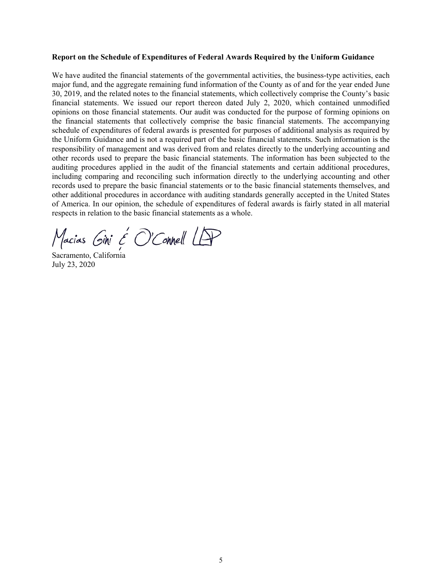#### **Report on the Schedule of Expenditures of Federal Awards Required by the Uniform Guidance**

We have audited the financial statements of the governmental activities, the business-type activities, each major fund, and the aggregate remaining fund information of the County as of and for the year ended June 30, 2019, and the related notes to the financial statements, which collectively comprise the County's basic financial statements. We issued our report thereon dated July 2, 2020, which contained unmodified opinions on those financial statements. Our audit was conducted for the purpose of forming opinions on the financial statements that collectively comprise the basic financial statements. The accompanying schedule of expenditures of federal awards is presented for purposes of additional analysis as required by the Uniform Guidance and is not a required part of the basic financial statements. Such information is the responsibility of management and was derived from and relates directly to the underlying accounting and other records used to prepare the basic financial statements. The information has been subjected to the auditing procedures applied in the audit of the financial statements and certain additional procedures, including comparing and reconciling such information directly to the underlying accounting and other records used to prepare the basic financial statements or to the basic financial statements themselves, and other additional procedures in accordance with auditing standards generally accepted in the United States of America. In our opinion, the schedule of expenditures of federal awards is fairly stated in all material respects in relation to the basic financial statements as a whole.

Macias Gini & O'Connell LAP

Sacramento, California July 23, 2020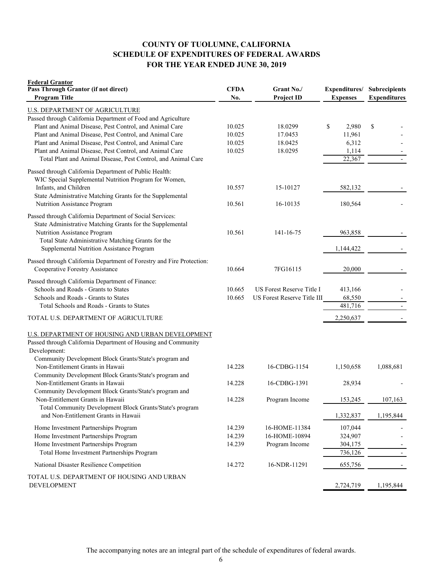## **COUNTY OF TUOLUMNE, CALIFORNIA SCHEDULE OF EXPENDITURES OF FEDERAL AWARDS FOR THE YEAR ENDED JUNE 30, 2019**

| <b>Federal Grantor</b><br>Pass Through Grantor (if not direct)<br><b>Program Title</b>                                                                                                                                                                                                                                                                                                                             | <b>CFDA</b><br>No.                   | Grant No./<br><b>Project ID</b>                          | Expenditures/<br><b>Expenses</b>                  | <b>Subrecipients</b><br><b>Expenditures</b> |
|--------------------------------------------------------------------------------------------------------------------------------------------------------------------------------------------------------------------------------------------------------------------------------------------------------------------------------------------------------------------------------------------------------------------|--------------------------------------|----------------------------------------------------------|---------------------------------------------------|---------------------------------------------|
| <b>U.S. DEPARTMENT OF AGRICULTURE</b><br>Passed through California Department of Food and Agriculture<br>Plant and Animal Disease, Pest Control, and Animal Care<br>Plant and Animal Disease, Pest Control, and Animal Care<br>Plant and Animal Disease, Pest Control, and Animal Care<br>Plant and Animal Disease, Pest Control, and Animal Care<br>Total Plant and Animal Disease, Pest Control, and Animal Care | 10.025<br>10.025<br>10.025<br>10.025 | 18.0299<br>17.0453<br>18.0425<br>18.0295                 | \$<br>2,980<br>11,961<br>6,312<br>1,114<br>22,367 | \$<br>$\overline{\phantom{a}}$              |
| Passed through California Department of Public Health:<br>WIC Special Supplemental Nutrition Program for Women,<br>Infants, and Children<br>State Administrative Matching Grants for the Supplemental<br>Nutrition Assistance Program                                                                                                                                                                              | 10.557<br>10.561                     | 15-10127<br>16-10135                                     | 582,132<br>180,564                                |                                             |
| Passed through California Department of Social Services:<br>State Administrative Matching Grants for the Supplemental<br>Nutrition Assistance Program<br>Total State Administrative Matching Grants for the<br>Supplemental Nutrition Assistance Program                                                                                                                                                           | 10.561                               | 141-16-75                                                | 963,858<br>1,144,422                              |                                             |
| Passed through California Department of Forestry and Fire Protection:<br>Cooperative Forestry Assistance                                                                                                                                                                                                                                                                                                           | 10.664                               | 7FG16115                                                 | 20,000                                            |                                             |
| Passed through California Department of Finance:<br>Schools and Roads - Grants to States<br>Schools and Roads - Grants to States<br>Total Schools and Roads - Grants to States                                                                                                                                                                                                                                     | 10.665<br>10.665                     | US Forest Reserve Title I<br>US Forest Reserve Title III | 413,166<br>68,550<br>481,716                      |                                             |
| TOTAL U.S. DEPARTMENT OF AGRICULTURE                                                                                                                                                                                                                                                                                                                                                                               |                                      |                                                          | 2,250,637                                         |                                             |
| U.S. DEPARTMENT OF HOUSING AND URBAN DEVELOPMENT<br>Passed through California Department of Housing and Community<br>Development:<br>Community Development Block Grants/State's program and                                                                                                                                                                                                                        |                                      |                                                          |                                                   |                                             |
| Non-Entitlement Grants in Hawaii<br>Community Development Block Grants/State's program and                                                                                                                                                                                                                                                                                                                         | 14.228                               | 16-CDBG-1154                                             | 1,150,658                                         | 1,088,681                                   |
| Non-Entitlement Grants in Hawaii<br>Community Development Block Grants/State's program and<br>Non-Entitlement Grants in Hawaii                                                                                                                                                                                                                                                                                     | 14.228<br>14.228                     | 16-CDBG-1391<br>Program Income                           | 28,934<br>153,245                                 | 107,163                                     |
| Total Community Development Block Grants/State's program<br>and Non-Entitlement Grants in Hawaii                                                                                                                                                                                                                                                                                                                   |                                      |                                                          | 1,332,837                                         | 1,195,844                                   |
| Home Investment Partnerships Program<br>Home Investment Partnerships Program<br>Home Investment Partnerships Program<br>Total Home Investment Partnerships Program                                                                                                                                                                                                                                                 | 14.239<br>14.239<br>14.239           | 16-HOME-11384<br>16-HOME-10894<br>Program Income         | 107,044<br>324,907<br>304,175<br>736,126          |                                             |
| National Disaster Resilience Competition                                                                                                                                                                                                                                                                                                                                                                           | 14.272                               | 16-NDR-11291                                             | 655,756                                           |                                             |
| TOTAL U.S. DEPARTMENT OF HOUSING AND URBAN<br><b>DEVELOPMENT</b>                                                                                                                                                                                                                                                                                                                                                   |                                      |                                                          | 2,724,719                                         | 1,195,844                                   |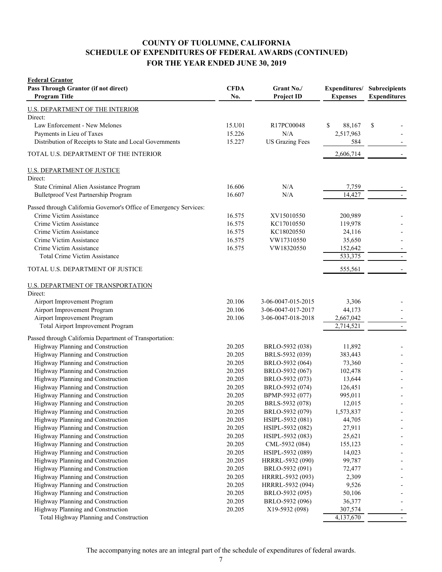# **SCHEDULE OF EXPENDITURES OF FEDERAL AWARDS (CONTINUED) FOR THE YEAR ENDED JUNE 30, 2019 COUNTY OF TUOLUMNE, CALIFORNIA**

| <b>Federal Grantor</b><br>Pass Through Grantor (if not direct)<br><b>Program Title</b> | <b>CFDA</b><br>No. | Grant No./<br><b>Project ID</b> | Expenditures/<br><b>Expenses</b> | Subrecipients<br><b>Expenditures</b> |
|----------------------------------------------------------------------------------------|--------------------|---------------------------------|----------------------------------|--------------------------------------|
| U.S. DEPARTMENT OF THE INTERIOR                                                        |                    |                                 |                                  |                                      |
| Direct:                                                                                |                    |                                 |                                  |                                      |
| Law Enforcement - New Melones                                                          | 15.U01             | R17PC00048                      | \$<br>88,167                     | \$                                   |
| Payments in Lieu of Taxes                                                              | 15.226             | N/A                             | 2,517,963                        |                                      |
| Distribution of Receipts to State and Local Governments                                | 15.227             | <b>US Grazing Fees</b>          | 584                              |                                      |
| TOTAL U.S. DEPARTMENT OF THE INTERIOR                                                  |                    |                                 | 2,606,714                        |                                      |
| <b>U.S. DEPARTMENT OF JUSTICE</b>                                                      |                    |                                 |                                  |                                      |
| Direct:                                                                                |                    |                                 |                                  |                                      |
| State Criminal Alien Assistance Program                                                | 16.606             | N/A                             | 7,759                            |                                      |
| Bulletproof Vest Partnership Program                                                   | 16.607             | N/A                             | 14,427                           |                                      |
| Passed through California Governor's Office of Emergency Services:                     |                    |                                 |                                  |                                      |
| Crime Victim Assistance                                                                | 16.575             | XV15010550                      | 200,989                          |                                      |
| Crime Victim Assistance                                                                | 16.575             | KC17010550                      | 119,978                          |                                      |
| Crime Victim Assistance                                                                | 16.575             | KC18020550                      | 24,116                           |                                      |
| Crime Victim Assistance                                                                | 16.575             | VW17310550                      | 35,650                           |                                      |
| Crime Victim Assistance                                                                | 16.575             | VW18320550                      | 152,642                          | $\overline{\phantom{a}}$             |
| <b>Total Crime Victim Assistance</b>                                                   |                    |                                 | 533,375                          | $\overline{\phantom{a}}$             |
| TOTAL U.S. DEPARTMENT OF JUSTICE                                                       |                    |                                 | 555,561                          |                                      |
| <b>U.S. DEPARTMENT OF TRANSPORTATION</b>                                               |                    |                                 |                                  |                                      |
| Direct:                                                                                |                    |                                 |                                  |                                      |
| Airport Improvement Program                                                            | 20.106             | 3-06-0047-015-2015              | 3,306                            |                                      |
| Airport Improvement Program                                                            | 20.106             | 3-06-0047-017-2017              | 44,173                           |                                      |
| Airport Improvement Program                                                            | 20.106             | 3-06-0047-018-2018              | 2,667,042                        |                                      |
| Total Airport Improvement Program                                                      |                    |                                 | 2,714,521                        | $\overline{\phantom{a}}$             |
| Passed through California Department of Transportation:                                |                    |                                 |                                  |                                      |
| Highway Planning and Construction                                                      | 20.205             | BRLO-5932 (038)                 | 11,892                           |                                      |
| Highway Planning and Construction                                                      | 20.205             | BRLS-5932 (039)                 | 383,443                          |                                      |
| Highway Planning and Construction                                                      | 20.205             | BRLO-5932 (064)                 | 73,360                           |                                      |
| Highway Planning and Construction                                                      | 20.205             | BRLO-5932 (067)                 | 102,478                          |                                      |
| Highway Planning and Construction                                                      | 20.205             | BRLO-5932 (073)                 | 13,644                           |                                      |
| Highway Planning and Construction                                                      | 20.205             | BRLO-5932 (074)                 | 126,451                          |                                      |
| Highway Planning and Construction                                                      | 20.205             | BPMP-5932 (077)                 | 995,011                          |                                      |
| Highway Planning and Construction                                                      | 20.205             | BRLS-5932 (078)                 | 12,015                           |                                      |
| Highway Planning and Construction                                                      | 20.205             | BRLO-5932 (079)                 | 1,573,837                        |                                      |
| Highway Planning and Construction                                                      | 20.205             | HSIPL-5932 (081)                | 44,705                           |                                      |
| Highway Planning and Construction                                                      | 20.205             | HSIPL-5932 (082)                | 27,911                           |                                      |
| Highway Planning and Construction                                                      | 20.205             | HSIPL-5932 (083)                | 25,621                           |                                      |
| Highway Planning and Construction                                                      | 20.205             | CML-5932 (084)                  | 155,123                          |                                      |
| Highway Planning and Construction                                                      | 20.205             | HSIPL-5932 (089)                | 14,023                           |                                      |
| Highway Planning and Construction                                                      | 20.205             | HRRRL-5932 (090)                | 99,787                           |                                      |
| Highway Planning and Construction                                                      | 20.205             | BRLO-5932 (091)                 | 72,477                           |                                      |
| Highway Planning and Construction                                                      | 20.205             | HRRRL-5932 (093)                | 2,309                            |                                      |
| Highway Planning and Construction                                                      | 20.205             | HRRRL-5932 (094)                | 9,526                            |                                      |
| Highway Planning and Construction                                                      | 20.205             | BRLO-5932 (095)                 | 50,106                           |                                      |
| Highway Planning and Construction                                                      | 20.205             | BRLO-5932 (096)                 | 36,377                           |                                      |
| Highway Planning and Construction                                                      | 20.205             | X19-5932 (098)                  | 307,574                          |                                      |
| Total Highway Planning and Construction                                                |                    |                                 | 4,137,670                        |                                      |

The accompanying notes are an integral part of the schedule of expenditures of federal awards.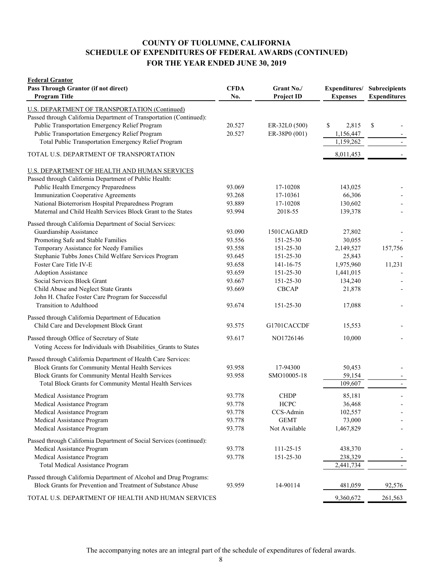## **COUNTY OF TUOLUMNE, CALIFORNIA SCHEDULE OF EXPENDITURES OF FEDERAL AWARDS (CONTINUED) FOR THE YEAR ENDED JUNE 30, 2019**

| <b>Program Title</b>                                                 |        | <b>Project ID</b> | <b>Expenses</b> | Subrecipients<br><b>Expenditures</b> |
|----------------------------------------------------------------------|--------|-------------------|-----------------|--------------------------------------|
| U.S. DEPARTMENT OF TRANSPORTATION (Continued)                        |        |                   |                 |                                      |
| Passed through California Department of Transportation (Continued):  |        |                   |                 |                                      |
| Public Transportation Emergency Relief Program                       | 20.527 | ER-32L0 (500)     | \$<br>2,815     | \$                                   |
| Public Transportation Emergency Relief Program                       | 20.527 | ER-38P0 (001)     | 1,156,447       |                                      |
| Total Public Transportation Emergency Relief Program                 |        |                   | 1,159,262       | $\overline{\phantom{a}}$             |
| TOTAL U.S. DEPARTMENT OF TRANSPORTATION                              |        |                   | 8,011,453       |                                      |
| U.S. DEPARTMENT OF HEALTH AND HUMAN SERVICES                         |        |                   |                 |                                      |
| Passed through California Department of Public Health:               |        |                   |                 |                                      |
| Public Health Emergency Preparedness                                 | 93.069 | 17-10208          | 143,025         |                                      |
| Immunization Cooperative Agreements                                  | 93.268 | 17-10361          | 66,306          |                                      |
| National Bioterrorism Hospital Preparedness Program                  | 93.889 | 17-10208          | 130,602         |                                      |
| Maternal and Child Health Services Block Grant to the States         | 93.994 | 2018-55           | 139,378         |                                      |
| Passed through California Department of Social Services:             |        |                   |                 |                                      |
| Guardianship Assistance                                              | 93.090 | 1501CAGARD        | 27,802          |                                      |
| Promoting Safe and Stable Families                                   | 93.556 | 151-25-30         | 30,055          |                                      |
| Temporary Assistance for Needy Families                              | 93.558 | 151-25-30         | 2,149,527       | 157,756                              |
| Stephanie Tubbs Jones Child Welfare Services Program                 | 93.645 | 151-25-30         | 25,843          |                                      |
| Foster Care Title IV-E                                               | 93.658 | 141-16-75         | 1,975,960       | 11,231                               |
| <b>Adoption Assistance</b>                                           | 93.659 | 151-25-30         | 1,441,015       |                                      |
| Social Services Block Grant                                          | 93.667 | 151-25-30         | 134,240         |                                      |
| Child Abuse and Neglect State Grants                                 | 93.669 | <b>CBCAP</b>      | 21,878          |                                      |
| John H. Chafee Foster Care Program for Successful                    |        |                   |                 |                                      |
| Transition to Adulthood                                              | 93.674 | 151-25-30         | 17,088          |                                      |
| Passed through California Department of Education                    |        |                   |                 |                                      |
| Child Care and Development Block Grant                               | 93.575 | G1701CACCDF       | 15,553          |                                      |
| Passed through Office of Secretary of State                          | 93.617 | NO1726146         | 10,000          |                                      |
| Voting Access for Individuals with Disabilities Grants to States     |        |                   |                 |                                      |
| Passed through California Department of Health Care Services:        |        |                   |                 |                                      |
| Block Grants for Community Mental Health Services                    | 93.958 | 17-94300          | 50,453          |                                      |
| Block Grants for Community Mental Health Services                    | 93.958 | SMO10005-18       | 59,154          |                                      |
| Total Block Grants for Community Mental Health Services              |        |                   | 109,607         |                                      |
| Medical Assistance Program                                           | 93.778 | <b>CHDP</b>       | 85,181          |                                      |
| Medical Assistance Program                                           | 93.778 | <b>HCPC</b>       | 36,468          |                                      |
| Medical Assistance Program                                           | 93.778 | CCS-Admin         | 102,557         |                                      |
| Medical Assistance Program                                           | 93.778 | <b>GEMT</b>       | 73,000          |                                      |
| Medical Assistance Program                                           | 93.778 | Not Available     | 1,467,829       |                                      |
| Passed through California Department of Social Services (continued): |        |                   |                 |                                      |
| Medical Assistance Program                                           | 93.778 | 111-25-15         | 438,370         |                                      |
| Medical Assistance Program                                           | 93.778 | 151-25-30         | 238,329         |                                      |
| Total Medical Assistance Program                                     |        |                   | 2,441,734       |                                      |
| Passed through California Department of Alcohol and Drug Programs:   |        |                   |                 |                                      |
| Block Grants for Prevention and Treatment of Substance Abuse         | 93.959 | 14-90114          | 481,059         | 92,576                               |
| TOTAL U.S. DEPARTMENT OF HEALTH AND HUMAN SERVICES                   |        |                   | 9,360,672       | 261,563                              |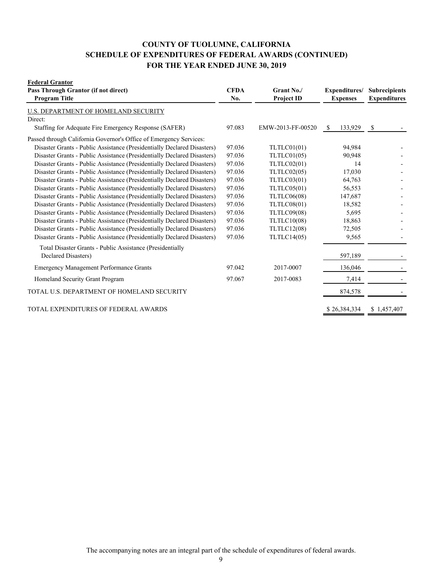# **COUNTY OF TUOLUMNE, CALIFORNIA SCHEDULE OF EXPENDITURES OF FEDERAL AWARDS (CONTINUED) FOR THE YEAR ENDED JUNE 30, 2019**

| <b>Federal Grantor</b><br>Pass Through Grantor (if not direct)<br><b>Program Title</b> | <b>CFDA</b><br>No. | Grant No./<br><b>Project ID</b> | Expenditures/<br><b>Expenses</b> | <b>Subrecipients</b><br><b>Expenditures</b> |
|----------------------------------------------------------------------------------------|--------------------|---------------------------------|----------------------------------|---------------------------------------------|
| U.S. DEPARTMENT OF HOMELAND SECURITY                                                   |                    |                                 |                                  |                                             |
| Direct:                                                                                |                    |                                 |                                  |                                             |
| Staffing for Adequate Fire Emergency Response (SAFER)                                  | 97.083             | EMW-2013-FF-00520               | 133,929<br><sup>S</sup>          | \$                                          |
| Passed through California Governor's Office of Emergency Services:                     |                    |                                 |                                  |                                             |
| Disaster Grants - Public Assistance (Presidentially Declared Disasters)                | 97.036             | TLTLC01(01)                     | 94,984                           |                                             |
| Disaster Grants - Public Assistance (Presidentially Declared Disasters)                | 97.036             | TLTLC01(05)                     | 90,948                           |                                             |
| Disaster Grants - Public Assistance (Presidentially Declared Disasters)                | 97.036             | TLTLC02(01)                     | 14                               |                                             |
| Disaster Grants - Public Assistance (Presidentially Declared Disasters)                | 97.036             | TLTLC02(05)                     | 17,030                           |                                             |
| Disaster Grants - Public Assistance (Presidentially Declared Disasters)                | 97.036             | TLTLC03(01)                     | 64,763                           |                                             |
| Disaster Grants - Public Assistance (Presidentially Declared Disasters)                | 97.036             | TLTLC05(01)                     | 56,553                           |                                             |
| Disaster Grants - Public Assistance (Presidentially Declared Disasters)                | 97.036             | TLTLC06(08)                     | 147,687                          |                                             |
| Disaster Grants - Public Assistance (Presidentially Declared Disasters)                | 97.036             | TLTLC08(01)                     | 18,582                           |                                             |
| Disaster Grants - Public Assistance (Presidentially Declared Disasters)                | 97.036             | TLTLC09(08)                     | 5,695                            |                                             |
| Disaster Grants - Public Assistance (Presidentially Declared Disasters)                | 97.036             | TLTLC10(08)                     | 18,863                           |                                             |
| Disaster Grants - Public Assistance (Presidentially Declared Disasters)                | 97.036             | TLTLC12(08)                     | 72,505                           |                                             |
| Disaster Grants - Public Assistance (Presidentially Declared Disasters)                | 97.036             | TLTLC14(05)                     | 9,565                            |                                             |
| Total Disaster Grants - Public Assistance (Presidentially                              |                    |                                 |                                  |                                             |
| Declared Disasters)                                                                    |                    |                                 | 597,189                          |                                             |
| <b>Emergency Management Performance Grants</b>                                         | 97.042             | 2017-0007                       | 136,046                          |                                             |
| Homeland Security Grant Program                                                        | 97.067             | 2017-0083                       | 7,414                            |                                             |
| TOTAL U.S. DEPARTMENT OF HOMELAND SECURITY                                             |                    |                                 | 874,578                          |                                             |
| TOTAL EXPENDITURES OF FEDERAL AWARDS                                                   |                    |                                 | \$26,384,334                     | \$1,457,407                                 |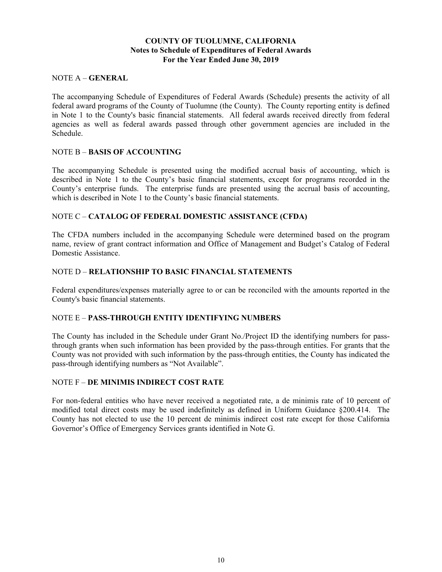## **COUNTY OF TUOLUMNE, CALIFORNIA Notes to Schedule of Expenditures of Federal Awards For the Year Ended June 30, 2019**

### NOTE A – **GENERAL**

The accompanying Schedule of Expenditures of Federal Awards (Schedule) presents the activity of all federal award programs of the County of Tuolumne (the County). The County reporting entity is defined in Note 1 to the County's basic financial statements. All federal awards received directly from federal agencies as well as federal awards passed through other government agencies are included in the Schedule.

## NOTE B – **BASIS OF ACCOUNTING**

The accompanying Schedule is presented using the modified accrual basis of accounting, which is described in Note 1 to the County's basic financial statements, except for programs recorded in the County's enterprise funds. The enterprise funds are presented using the accrual basis of accounting, which is described in Note 1 to the County's basic financial statements.

## NOTE C – **CATALOG OF FEDERAL DOMESTIC ASSISTANCE (CFDA)**

The CFDA numbers included in the accompanying Schedule were determined based on the program name, review of grant contract information and Office of Management and Budget's Catalog of Federal Domestic Assistance.

### NOTE D – **RELATIONSHIP TO BASIC FINANCIAL STATEMENTS**

Federal expenditures/expenses materially agree to or can be reconciled with the amounts reported in the County's basic financial statements.

## NOTE E – **PASS-THROUGH ENTITY IDENTIFYING NUMBERS**

The County has included in the Schedule under Grant No./Project ID the identifying numbers for passthrough grants when such information has been provided by the pass-through entities. For grants that the County was not provided with such information by the pass-through entities, the County has indicated the pass-through identifying numbers as "Not Available".

### NOTE F – **DE MINIMIS INDIRECT COST RATE**

For non-federal entities who have never received a negotiated rate, a de minimis rate of 10 percent of modified total direct costs may be used indefinitely as defined in Uniform Guidance §200.414. The County has not elected to use the 10 percent de minimis indirect cost rate except for those California Governor's Office of Emergency Services grants identified in Note G.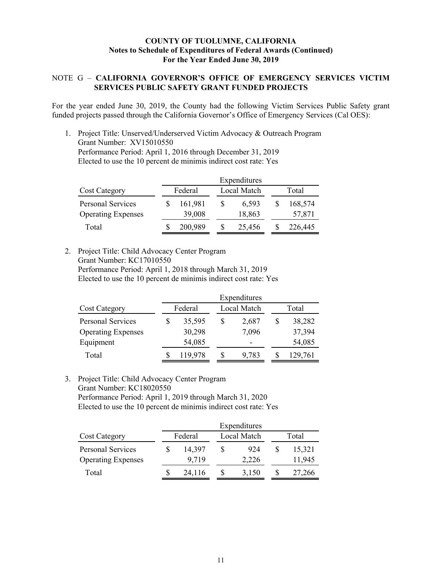## **COUNTY OF TUOLUMNE, CALIFORNIA Notes to Schedule of Expenditures of Federal Awards (Continued) For the Year Ended June 30, 2019**

## NOTE G – **CALIFORNIA GOVERNOR'S OFFICE OF EMERGENCY SERVICES VICTIM SERVICES PUBLIC SAFETY GRANT FUNDED PROJECTS**

For the year ended June 30, 2019, the County had the following Victim Services Public Safety grant funded projects passed through the California Governor's Office of Emergency Services (Cal OES):

1. Project Title: Unserved/Underserved Victim Advocacy & Outreach Program Grant Number: XV15010550 Performance Period: April 1, 2016 through December 31, 2019 Elected to use the 10 percent de minimis indirect cost rate: Yes

|                           | Expenditures |  |             |  |         |  |
|---------------------------|--------------|--|-------------|--|---------|--|
| <b>Cost Category</b>      | Federal      |  | Local Match |  | Total   |  |
| <b>Personal Services</b>  | 161,981      |  | 6.593       |  | 168,574 |  |
| <b>Operating Expenses</b> | 39,008       |  | 18,863      |  | 57,871  |  |
| Total                     | 200,989      |  | 25,456      |  | 226,445 |  |

2. Project Title: Child Advocacy Center Program Grant Number: KC17010550 Performance Period: April 1, 2018 through March 31, 2019

Elected to use the 10 percent de minimis indirect cost rate: Yes

|                           | Expenditures |         |   |             |  |         |
|---------------------------|--------------|---------|---|-------------|--|---------|
| <b>Cost Category</b>      |              | Federal |   | Local Match |  | Total   |
| Personal Services         |              | 35,595  | S | 2,687       |  | 38,282  |
| <b>Operating Expenses</b> |              | 30,298  |   | 7,096       |  | 37,394  |
| Equipment                 |              | 54,085  |   |             |  | 54,085  |
| Total                     |              | 119,978 |   | 9,783       |  | 129,761 |

### 3. Project Title: Child Advocacy Center Program Grant Number: KC18020550 Performance Period: April 1, 2019 through March 31, 2020 Elected to use the 10 percent de minimis indirect cost rate: Yes

|                           | Expenditures |  |             |       |        |  |
|---------------------------|--------------|--|-------------|-------|--------|--|
| <b>Cost Category</b>      | Federal      |  | Local Match | Total |        |  |
| Personal Services         | 14,397       |  | 924         |       | 15,321 |  |
| <b>Operating Expenses</b> | 9.719        |  | 2,226       |       | 11,945 |  |
| Total                     | 24,116       |  | 3,150       |       | 27,266 |  |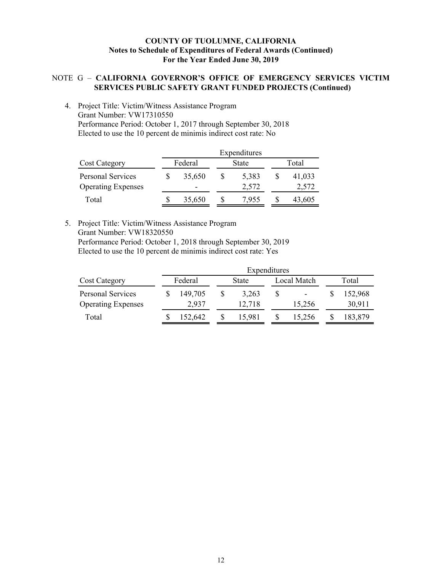## **COUNTY OF TUOLUMNE, CALIFORNIA Notes to Schedule of Expenditures of Federal Awards (Continued) For the Year Ended June 30, 2019**

## NOTE G – **CALIFORNIA GOVERNOR'S OFFICE OF EMERGENCY SERVICES VICTIM SERVICES PUBLIC SAFETY GRANT FUNDED PROJECTS (Continued)**

4. Project Title: Victim/Witness Assistance Program Grant Number: VW17310550 Performance Period: October 1, 2017 through September 30, 2018 Elected to use the 10 percent de minimis indirect cost rate: No

|                           | Expenditures |  |       |  |        |  |
|---------------------------|--------------|--|-------|--|--------|--|
| <b>Cost Category</b>      | Federal      |  | State |  | Total  |  |
| <b>Personal Services</b>  | 35,650       |  | 5,383 |  | 41,033 |  |
| <b>Operating Expenses</b> | -            |  | 2,572 |  | 2,572  |  |
| Total                     | 35,650       |  | 7.955 |  | 43,605 |  |

5. Project Title: Victim/Witness Assistance Program Grant Number: VW18320550 Performance Period: October 1, 2018 through September 30, 2019 Elected to use the 10 percent de minimis indirect cost rate: Yes

|                           |         | Expenditures |  |              |  |                          |  |         |
|---------------------------|---------|--------------|--|--------------|--|--------------------------|--|---------|
| <b>Cost Category</b>      | Federal |              |  | <b>State</b> |  | Local Match              |  | Total   |
| Personal Services         |         | 149,705      |  | 3.263        |  | $\overline{\phantom{0}}$ |  | 152,968 |
| <b>Operating Expenses</b> |         | 2,937        |  | 12,718       |  | 15,256                   |  | 30,911  |
| Total                     |         | 152.642      |  | 15.981       |  | 15.256                   |  | 183,879 |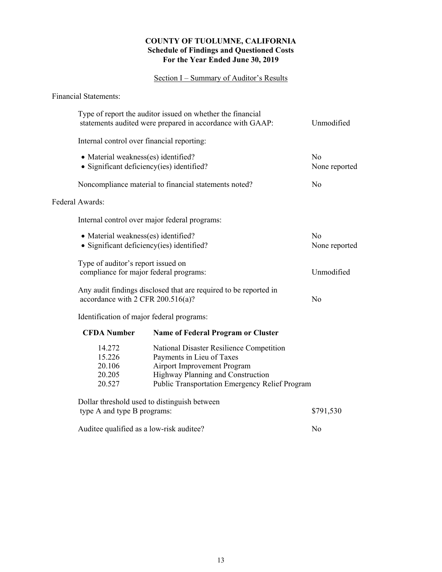## **COUNTY OF TUOLUMNE, CALIFORNIA Schedule of Findings and Questioned Costs For the Year Ended June 30, 2019**

## Section I – Summary of Auditor's Results

Financial Statements:

|                                          | Type of report the auditor issued on whether the financial<br>statements audited were prepared in accordance with GAAP:<br>Unmodified |                                                       |                |  |  |  |  |  |  |
|------------------------------------------|---------------------------------------------------------------------------------------------------------------------------------------|-------------------------------------------------------|----------------|--|--|--|--|--|--|
|                                          | Internal control over financial reporting:                                                                                            |                                                       |                |  |  |  |  |  |  |
|                                          | • Material weakness(es) identified?                                                                                                   |                                                       | N <sub>o</sub> |  |  |  |  |  |  |
|                                          |                                                                                                                                       | • Significant deficiency(ies) identified?             | None reported  |  |  |  |  |  |  |
|                                          |                                                                                                                                       | Noncompliance material to financial statements noted? | N <sub>o</sub> |  |  |  |  |  |  |
| Federal Awards:                          |                                                                                                                                       |                                                       |                |  |  |  |  |  |  |
|                                          |                                                                                                                                       | Internal control over major federal programs:         |                |  |  |  |  |  |  |
|                                          | N <sub>o</sub><br>• Material weakness(es) identified?                                                                                 |                                                       |                |  |  |  |  |  |  |
|                                          | • Significant deficiency(ies) identified?                                                                                             |                                                       |                |  |  |  |  |  |  |
|                                          | Type of auditor's report issued on                                                                                                    |                                                       |                |  |  |  |  |  |  |
|                                          |                                                                                                                                       | compliance for major federal programs:                | Unmodified     |  |  |  |  |  |  |
|                                          | Any audit findings disclosed that are required to be reported in<br>accordance with 2 CFR $200.516(a)$ ?                              |                                                       |                |  |  |  |  |  |  |
|                                          |                                                                                                                                       | Identification of major federal programs:             |                |  |  |  |  |  |  |
|                                          | <b>CFDA Number</b>                                                                                                                    | <b>Name of Federal Program or Cluster</b>             |                |  |  |  |  |  |  |
|                                          | 14.272                                                                                                                                | National Disaster Resilience Competition              |                |  |  |  |  |  |  |
|                                          | Payments in Lieu of Taxes<br>15.226                                                                                                   |                                                       |                |  |  |  |  |  |  |
|                                          | Airport Improvement Program<br>20.106                                                                                                 |                                                       |                |  |  |  |  |  |  |
|                                          | Highway Planning and Construction<br>20.205                                                                                           |                                                       |                |  |  |  |  |  |  |
|                                          | Public Transportation Emergency Relief Program<br>20.527                                                                              |                                                       |                |  |  |  |  |  |  |
|                                          |                                                                                                                                       | Dollar threshold used to distinguish between          |                |  |  |  |  |  |  |
| type A and type B programs:<br>\$791,530 |                                                                                                                                       |                                                       |                |  |  |  |  |  |  |

Auditee qualified as a low-risk auditee? No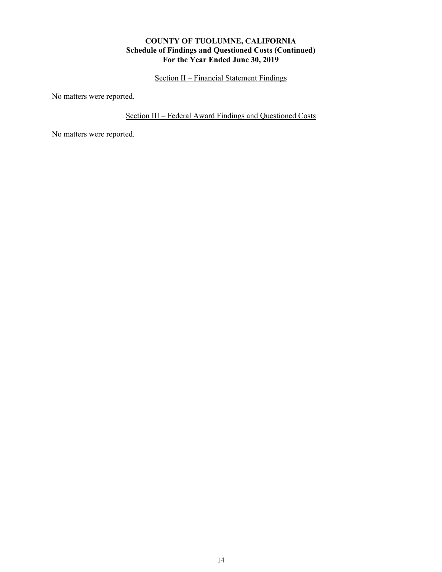## **COUNTY OF TUOLUMNE, CALIFORNIA Schedule of Findings and Questioned Costs (Continued) For the Year Ended June 30, 2019**

Section II – Financial Statement Findings

No matters were reported.

Section III – Federal Award Findings and Questioned Costs

No matters were reported.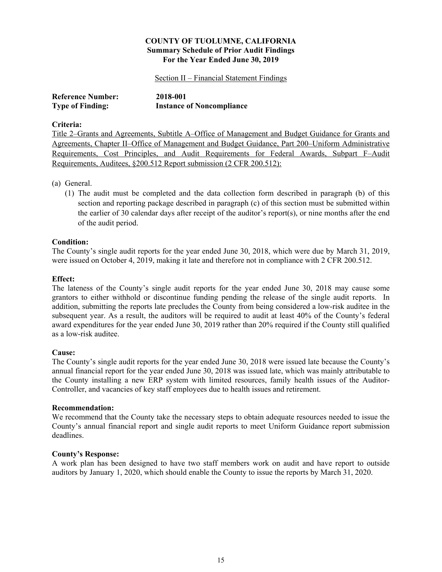### Section II – Financial Statement Findings

| <b>Reference Number:</b> | 2018-001                         |
|--------------------------|----------------------------------|
| <b>Type of Finding:</b>  | <b>Instance of Noncompliance</b> |

### **Criteria:**

Title 2–Grants and Agreements, Subtitle A–Office of Management and Budget Guidance for Grants and Agreements, Chapter II–Office of Management and Budget Guidance, Part 200–Uniform Administrative Requirements, Cost Principles, and Audit Requirements for Federal Awards, Subpart F–Audit Requirements, Auditees, §200.512 Report submission (2 CFR 200.512):

### (a) General.

(1) The audit must be completed and the data collection form described in paragraph (b) of this section and reporting package described in paragraph (c) of this section must be submitted within the earlier of 30 calendar days after receipt of the auditor's report(s), or nine months after the end of the audit period.

## **Condition:**

The County's single audit reports for the year ended June 30, 2018, which were due by March 31, 2019, were issued on October 4, 2019, making it late and therefore not in compliance with 2 CFR 200.512.

### **Effect:**

The lateness of the County's single audit reports for the year ended June 30, 2018 may cause some grantors to either withhold or discontinue funding pending the release of the single audit reports. In addition, submitting the reports late precludes the County from being considered a low-risk auditee in the subsequent year. As a result, the auditors will be required to audit at least 40% of the County's federal award expenditures for the year ended June 30, 2019 rather than 20% required if the County still qualified as a low-risk auditee.

### **Cause:**

The County's single audit reports for the year ended June 30, 2018 were issued late because the County's annual financial report for the year ended June 30, 2018 was issued late, which was mainly attributable to the County installing a new ERP system with limited resources, family health issues of the Auditor-Controller, and vacancies of key staff employees due to health issues and retirement.

### **Recommendation:**

We recommend that the County take the necessary steps to obtain adequate resources needed to issue the County's annual financial report and single audit reports to meet Uniform Guidance report submission deadlines.

### **County's Response:**

A work plan has been designed to have two staff members work on audit and have report to outside auditors by January 1, 2020, which should enable the County to issue the reports by March 31, 2020.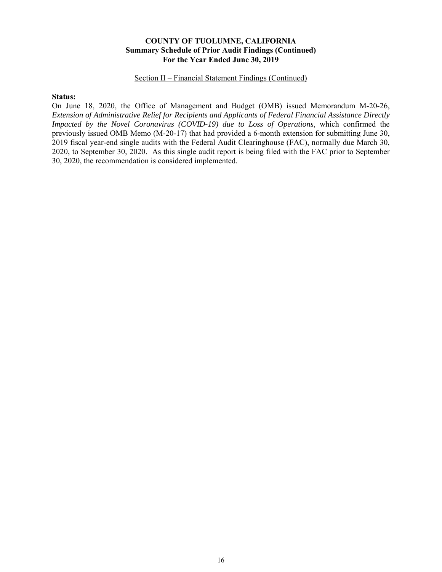### Section II – Financial Statement Findings (Continued)

### **Status:**

On June 18, 2020, the Office of Management and Budget (OMB) issued Memorandum M-20-26, *Extension of Administrative Relief for Recipients and Applicants of Federal Financial Assistance Directly Impacted by the Novel Coronavirus (COVID-19) due to Loss of Operations*, which confirmed the previously issued OMB Memo (M-20-17) that had provided a 6-month extension for submitting June 30, 2019 fiscal year-end single audits with the Federal Audit Clearinghouse (FAC), normally due March 30, 2020, to September 30, 2020. As this single audit report is being filed with the FAC prior to September 30, 2020, the recommendation is considered implemented.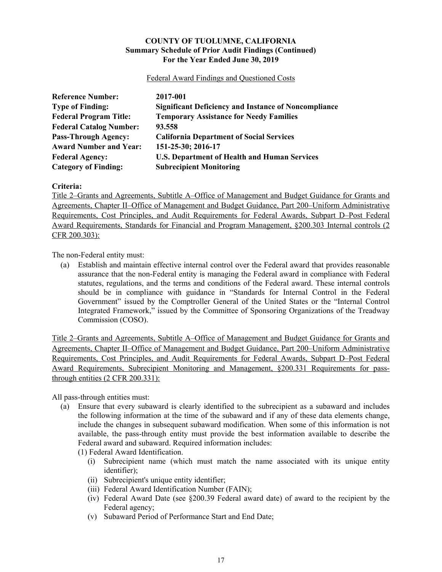Federal Award Findings and Questioned Costs

| <b>Reference Number:</b>       | 2017-001                                                    |
|--------------------------------|-------------------------------------------------------------|
| <b>Type of Finding:</b>        | <b>Significant Deficiency and Instance of Noncompliance</b> |
| <b>Federal Program Title:</b>  | <b>Temporary Assistance for Needy Families</b>              |
| <b>Federal Catalog Number:</b> | 93.558                                                      |
| <b>Pass-Through Agency:</b>    | <b>California Department of Social Services</b>             |
| <b>Award Number and Year:</b>  | 151-25-30; 2016-17                                          |
| <b>Federal Agency:</b>         | <b>U.S. Department of Health and Human Services</b>         |
| <b>Category of Finding:</b>    | <b>Subrecipient Monitoring</b>                              |

**Criteria:**

Title 2–Grants and Agreements, Subtitle A–Office of Management and Budget Guidance for Grants and Agreements, Chapter II–Office of Management and Budget Guidance, Part 200–Uniform Administrative Requirements, Cost Principles, and Audit Requirements for Federal Awards, Subpart D–Post Federal Award Requirements, Standards for Financial and Program Management, §200.303 Internal controls (2 CFR 200.303):

The non-Federal entity must:

(a) Establish and maintain effective internal control over the Federal award that provides reasonable assurance that the non-Federal entity is managing the Federal award in compliance with Federal statutes, regulations, and the terms and conditions of the Federal award. These internal controls should be in compliance with guidance in "Standards for Internal Control in the Federal Government" issued by the Comptroller General of the United States or the "Internal Control Integrated Framework," issued by the Committee of Sponsoring Organizations of the Treadway Commission (COSO).

Title 2–Grants and Agreements, Subtitle A–Office of Management and Budget Guidance for Grants and Agreements, Chapter II–Office of Management and Budget Guidance, Part 200–Uniform Administrative Requirements, Cost Principles, and Audit Requirements for Federal Awards, Subpart D–Post Federal Award Requirements, Subrecipient Monitoring and Management, §200.331 Requirements for passthrough entities (2 CFR 200.331):

All pass-through entities must:

(a) Ensure that every subaward is clearly identified to the subrecipient as a subaward and includes the following information at the time of the subaward and if any of these data elements change, include the changes in subsequent subaward modification. When some of this information is not available, the pass-through entity must provide the best information available to describe the Federal award and subaward. Required information includes:

(1) Federal Award Identification.

- (i) Subrecipient name (which must match the name associated with its unique entity identifier);
- (ii) Subrecipient's unique entity identifier;
- (iii) Federal Award Identification Number (FAIN);
- (iv) Federal Award Date (see §200.39 Federal award date) of award to the recipient by the Federal agency;
- (v) Subaward Period of Performance Start and End Date;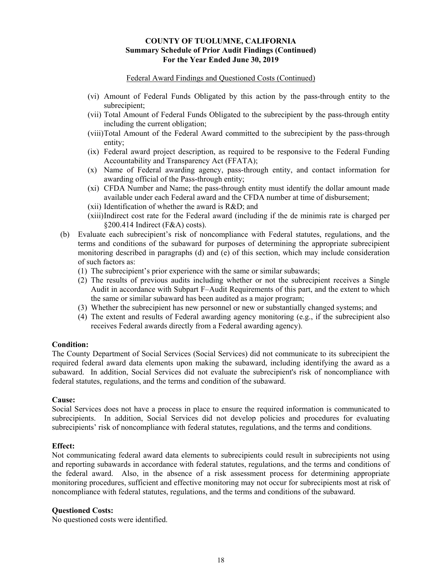### Federal Award Findings and Questioned Costs (Continued)

- (vi) Amount of Federal Funds Obligated by this action by the pass-through entity to the subrecipient;
- (vii) Total Amount of Federal Funds Obligated to the subrecipient by the pass-through entity including the current obligation;
- (viii) Total Amount of the Federal Award committed to the subrecipient by the pass-through entity;
- (ix) Federal award project description, as required to be responsive to the Federal Funding Accountability and Transparency Act (FFATA);
- (x) Name of Federal awarding agency, pass-through entity, and contact information for awarding official of the Pass-through entity;
- (xi) CFDA Number and Name; the pass-through entity must identify the dollar amount made available under each Federal award and the CFDA number at time of disbursement;
- (xii) Identification of whether the award is R&D; and
- (xiii) Indirect cost rate for the Federal award (including if the de minimis rate is charged per §200.414 Indirect (F&A) costs).
- (b) Evaluate each subrecipient's risk of noncompliance with Federal statutes, regulations, and the terms and conditions of the subaward for purposes of determining the appropriate subrecipient monitoring described in paragraphs (d) and (e) of this section, which may include consideration of such factors as:
	- (1) The subrecipient's prior experience with the same or similar subawards;
	- (2) The results of previous audits including whether or not the subrecipient receives a Single Audit in accordance with Subpart F–Audit Requirements of this part, and the extent to which the same or similar subaward has been audited as a major program;
	- (3) Whether the subrecipient has new personnel or new or substantially changed systems; and
	- (4) The extent and results of Federal awarding agency monitoring (e.g., if the subrecipient also receives Federal awards directly from a Federal awarding agency).

## **Condition:**

The County Department of Social Services (Social Services) did not communicate to its subrecipient the required federal award data elements upon making the subaward, including identifying the award as a subaward. In addition, Social Services did not evaluate the subrecipient's risk of noncompliance with federal statutes, regulations, and the terms and condition of the subaward.

### **Cause:**

Social Services does not have a process in place to ensure the required information is communicated to subrecipients. In addition, Social Services did not develop policies and procedures for evaluating subrecipients' risk of noncompliance with federal statutes, regulations, and the terms and conditions.

### **Effect:**

Not communicating federal award data elements to subrecipients could result in subrecipients not using and reporting subawards in accordance with federal statutes, regulations, and the terms and conditions of the federal award. Also, in the absence of a risk assessment process for determining appropriate monitoring procedures, sufficient and effective monitoring may not occur for subrecipients most at risk of noncompliance with federal statutes, regulations, and the terms and conditions of the subaward.

### **Questioned Costs:**

No questioned costs were identified.